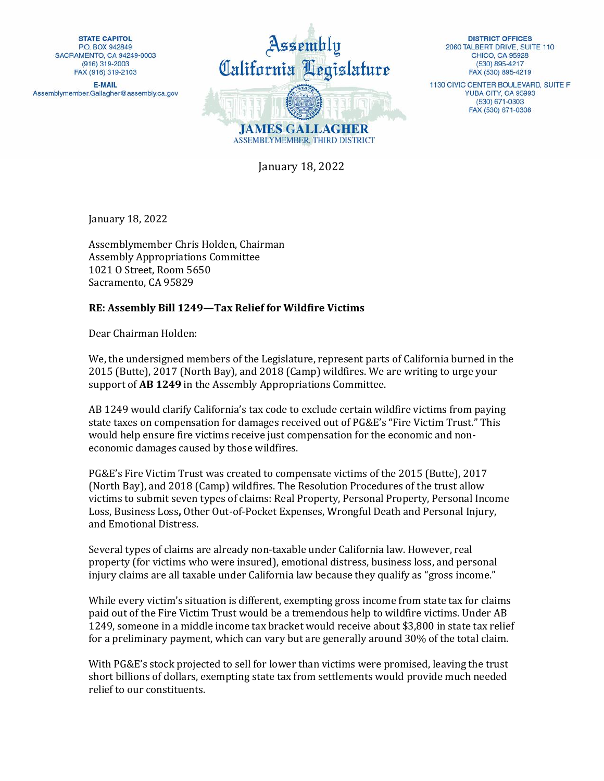**STATE CAPITOL** P.O. BOX 942849 SACRAMENTO, CA 94249-0003 (916) 319-2003 FAX (916) 319-2103

**E-MAIL** Assemblymember.Gallagher@assembly.ca.gov



**DISTRICT OFFICES** 2060 TALBERT DRIVE, SUITE 110 **CHICO, CA 95928** (530) 895-4217 FAX (530) 895-4219

1130 CIVIC CENTER BOULEVARD, SUITE F YUBA CITY, CA 95993 (530) 671-0303 FAX (530) 671-0308

January 18, 2022

January 18, 2022

Assemblymember Chris Holden, Chairman Assembly Appropriations Committee 1021 O Street, Room 5650 Sacramento, CA 95829

## **RE: Assembly Bill 1249—Tax Relief for Wildfire Victims**

Dear Chairman Holden:

We, the undersigned members of the Legislature, represent parts of California burned in the 2015 (Butte), 2017 (North Bay), and 2018 (Camp) wildfires. We are writing to urge your support of **AB 1249** in the Assembly Appropriations Committee.

AB 1249 would clarify California's tax code to exclude certain wildfire victims from paying state taxes on compensation for damages received out of PG&E's "Fire Victim Trust." This would help ensure fire victims receive just compensation for the economic and noneconomic damages caused by those wildfires.

PG&E's Fire Victim Trust was created to compensate victims of the 2015 (Butte), 2017 (North Bay), and 2018 (Camp) wildfires. The Resolution Procedures of the trust allow victims to submit seven types of claims: Real Property, Personal Property, Personal Income Loss, Business Loss**,** Other Out-of-Pocket Expenses, Wrongful Death and Personal Injury, and Emotional Distress.

Several types of claims are already non-taxable under California law. However, real property (for victims who were insured), emotional distress, business loss, and personal injury claims are all taxable under California law because they qualify as "gross income."

While every victim's situation is different, exempting gross income from state tax for claims paid out of the Fire Victim Trust would be a tremendous help to wildfire victims. Under AB 1249, someone in a middle income tax bracket would receive about \$3,800 in state tax relief for a preliminary payment, which can vary but are generally around 30% of the total claim.

With PG&E's stock projected to sell for lower than victims were promised, leaving the trust short billions of dollars, exempting state tax from settlements would provide much needed relief to our constituents.